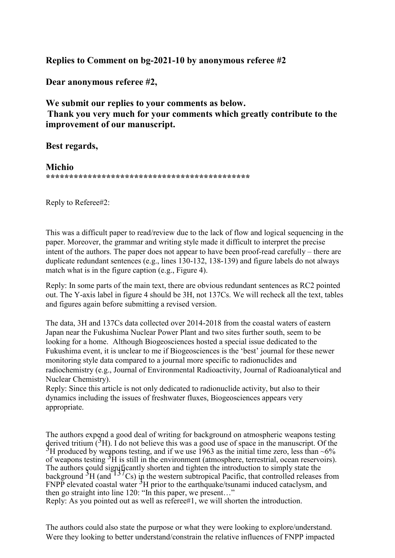**Replies to Comment on bg-2021-10 by anonymous referee #2**

**Dear anonymous referee #2,**

**We submit our replies to your comments as below. Thank you very much for your comments which greatly contribute to the improvement of our manuscript.**

**Best regards,**

**Michio \*\*\*\*\*\*\*\*\*\*\*\*\*\*\*\*\*\*\*\*\*\*\*\*\*\*\*\*\*\*\*\*\*\*\*\*\*\*\*\*\*\*\*\***

Reply to Referee#2:

This was a difficult paper to read/review due to the lack of flow and logical sequencing in the paper. Moreover, the grammar and writing style made it difficult to interpret the precise intent of the authors. The paper does not appear to have been proof-read carefully – there are duplicate redundant sentences (e.g., lines 130-132, 138-139) and figure labels do not always match what is in the figure caption (e.g., Figure 4).

Reply: In some parts of the main text, there are obvious redundant sentences as RC2 pointed out. The Y-axis label in figure 4 should be 3H, not 137Cs. We will recheck all the text, tables and figures again before submitting a revised version.

The data, 3H and 137Cs data collected over 2014-2018 from the coastal waters of eastern Japan near the Fukushima Nuclear Power Plant and two sites further south, seem to be looking for a home. Although Biogeosciences hosted a special issue dedicated to the Fukushima event, it is unclear to me if Biogeosciences is the 'best' journal for these newer monitoring style data compared to a journal more specific to radionuclides and radiochemistry (e.g., Journal of Environmental Radioactivity, Journal of Radioanalytical and Nuclear Chemistry).

Reply: Since this article is not only dedicated to radionuclide activity, but also to their dynamics including the issues of freshwater fluxes, Biogeosciences appears very appropriate.

The authors expend a good deal of writing for background on atmospheric weapons testing derived tritium (<sup>3</sup>H). I do not believe this was a good use of space in the manuscript. Of the <sup>3</sup>H produced by weapons testing, and if we use 1963 as the initial time zero, less than ~6% of weapons testing <sup>3</sup>H is still in the environment (atmosphere, terrestrial, ocean reservoirs). The authors could significantly shorten and tighten the introduction to simply state the background  ${}^{3}H$  (and  ${}^{137}Cs$ ) in the western subtropical Pacific, that controlled releases from  $FNPP$  elevated coastal water  ${}^{3}H$  prior to the earthquake/tsunami induced cataclysm, and then go straight into line 120: "In this paper, we present…"

Reply: As you pointed out as well as referee#1, we will shorten the introduction.

The authors could also state the purpose or what they were looking to explore/understand. Were they looking to better understand/constrain the relative influences of FNPP impacted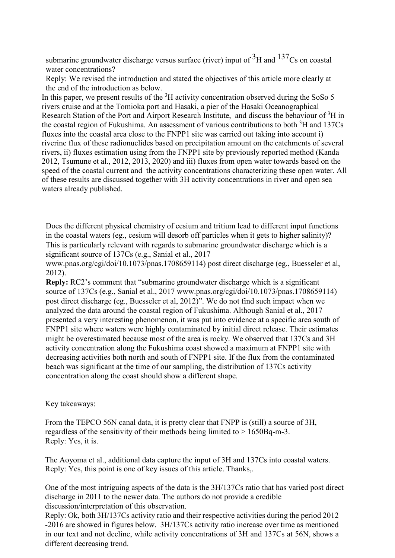submarine groundwater discharge versus surface (river) input of  $3H$  and  $137Cs$  on coastal water concentrations?

Reply: We revised the introduction and stated the objectives of this article more clearly at the end of the introduction as below.

In this paper, we present results of the  ${}^{3}H$  activity concentration observed during the SoSo 5 rivers cruise and at the Tomioka port and Hasaki, a pier of the Hasaki Oceanographical Research Station of the Port and Airport Research Institute, and discuss the behaviour of <sup>3</sup>H in the coastal region of Fukushima. An assessment of various contributions to both  ${}^{3}H$  and 137Cs fluxes into the coastal area close to the FNPP1 site was carried out taking into account i) riverine flux of these radionuclides based on precipitation amount on the catchments of several rivers, ii) fluxes estimation using from the FNPP1 site by previously reported method (Kanda 2012, Tsumune et al., 2012, 2013, 2020) and iii) fluxes from open water towards based on the speed of the coastal current and the activity concentrations characterizing these open water. All of these results are discussed together with 3H activity concentrations in river and open sea waters already published.

Does the different physical chemistry of cesium and tritium lead to different input functions in the coastal waters (eg., cesium will desorb off particles when it gets to higher salinity)? This is particularly relevant with regards to submarine groundwater discharge which is a significant source of 137Cs (e.g., Sanial et al., 201[7](http://www.pnas.org/cgi/doi/10.1073/pnas.1708659114))

[www.pnas.org/cgi/doi/10.1073/pnas.1708659114\)](http://www.pnas.org/cgi/doi/10.1073/pnas.1708659114)) post direct discharge (eg., Buesseler et al, 2012).

**Reply:** RC2's comment that "submarine groundwater discharge which is a significant source of 137Cs (e.g., Sanial et al., 2017 www.pnas.org/cgi/doi/10.1073/pnas.1708659114) post direct discharge (eg., Buesseler et al, 2012)". We do not find such impact when we analyzed the data around the coastal region of Fukushima. Although Sanial et al., 2017 presented a very interesting phenomenon, it was put into evidence at a specific area south of FNPP1 site where waters were highly contaminated by initial direct release. Their estimates might be overestimated because most of the area is rocky. We observed that 137Cs and 3H activity concentration along the Fukushima coast showed a maximum at FNPP1 site with decreasing activities both north and south of FNPP1 site. If the flux from the contaminated beach was significant at the time of our sampling, the distribution of 137Cs activity concentration along the coast should show a different shape.

## Key takeaways:

From the TEPCO 56N canal data, it is pretty clear that FNPP is (still) a source of 3H, regardless of the sensitivity of their methods being limited to > 1650Bq-m-3. Reply: Yes, it is.

The Aoyoma et al., additional data capture the input of 3H and 137Cs into coastal waters. Reply: Yes, this point is one of key issues of this article. Thanks,.

One of the most intriguing aspects of the data is the 3H/137Cs ratio that has varied post direct discharge in 2011 to the newer data. The authors do not provide a credible discussion/interpretation of this observation.

Reply: Ok, both 3H/137Cs activity ratio and their respective activities during the period 2012 -2016 are showed in figures below. 3H/137Cs activity ratio increase over time as mentioned in our text and not decline, while activity concentrations of 3H and 137Cs at 56N, shows a different decreasing trend.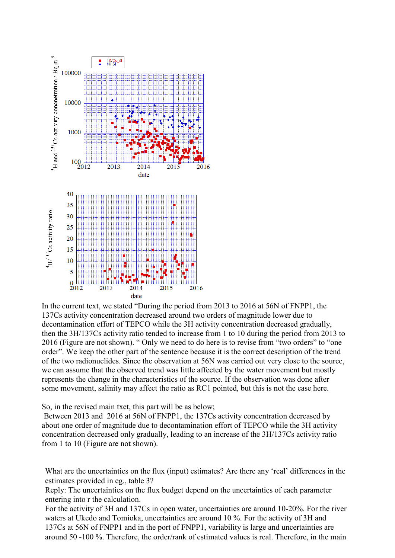

In the current text, we stated "During the period from 2013 to 2016 at 56N of FNPP1, the 137Cs activity concentration decreased around two orders of magnitude lower due to decontamination effort of TEPCO while the 3H activity concentration decreased gradually, then the 3H/137Cs activity ratio tended to increase from 1 to 10 during the period from 2013 to 2016 (Figure are not shown). " Only we need to do here is to revise from "two orders" to "one order". We keep the other part of the sentence because it is the correct description of the trend of the two radionuclides. Since the observation at 56N was carried out very close to the source, we can assume that the observed trend was little affected by the water movement but mostly represents the change in the characteristics of the source. If the observation was done after some movement, salinity may affect the ratio as RC1 pointed, but this is not the case here.

So, in the revised main txet, this part will be as below;

Between 2013 and 2016 at 56N of FNPP1, the 137Cs activity concentration decreased by about one order of magnitude due to decontamination effort of TEPCO while the 3H activity concentration decreased only gradually, leading to an increase of the 3H/137Cs activity ratio from 1 to 10 (Figure are not shown).

What are the uncertainties on the flux (input) estimates? Are there any 'real' differences in the estimates provided in eg., table 3?

Reply: The uncertainties on the flux budget depend on the uncertainties of each parameter entering into r the calculation.

For the activity of 3H and 137Cs in open water, uncertainties are around 10-20%. For the river waters at Ukedo and Tomioka, uncertainties are around 10 %. For the activity of 3H and 137Cs at 56N of FNPP1 and in the port of FNPP1, variability is large and uncertainties are around 50 -100 %. Therefore, the order/rank of estimated values is real. Therefore, in the main